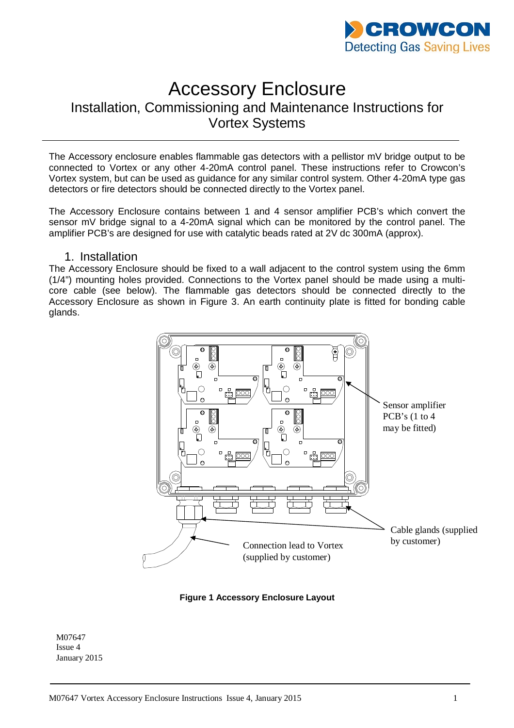

# Accessory Enclosure

# Installation, Commissioning and Maintenance Instructions for Vortex Systems

The Accessory enclosure enables flammable gas detectors with a pellistor mV bridge output to be connected to Vortex or any other 4-20mA control panel. These instructions refer to Crowcon's Vortex system, but can be used as guidance for any similar control system. Other 4-20mA type gas detectors or fire detectors should be connected directly to the Vortex panel.

The Accessory Enclosure contains between 1 and 4 sensor amplifier PCB's which convert the sensor mV bridge signal to a 4-20mA signal which can be monitored by the control panel. The amplifier PCB's are designed for use with catalytic beads rated at 2V dc 300mA (approx).

## 1. Installation

The Accessory Enclosure should be fixed to a wall adjacent to the control system using the 6mm (1/4") mounting holes provided. Connections to the Vortex panel should be made using a multicore cable (see below). The flammable gas detectors should be connected directly to the Accessory Enclosure as shown in Figure 3. An earth continuity plate is fitted for bonding cable glands.



**Figure 1 Accessory Enclosure Layout**

M07647 Issue 4 January 2015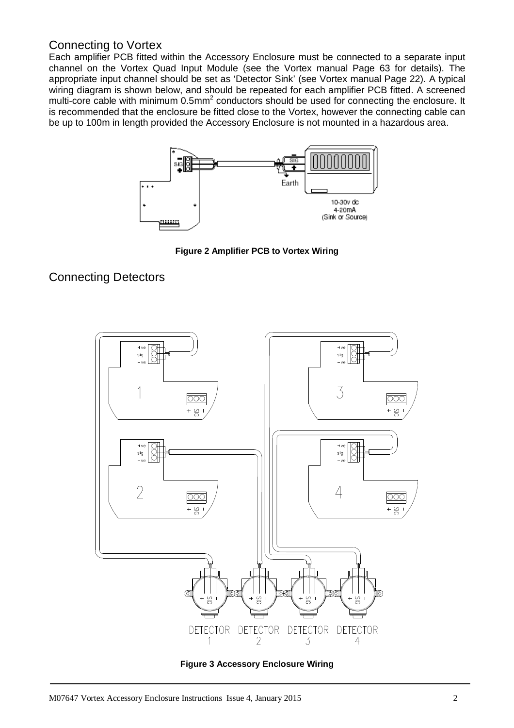# Connecting to Vortex

Each amplifier PCB fitted within the Accessory Enclosure must be connected to a separate input channel on the Vortex Quad Input Module (see the Vortex manual Page 63 for details). The appropriate input channel should be set as 'Detector Sink' (see Vortex manual Page 22). A typical wiring diagram is shown below, and should be repeated for each amplifier PCB fitted. A screened multi-core cable with minimum  $0.5$ mm<sup>2</sup> conductors should be used for connecting the enclosure. It is recommended that the enclosure be fitted close to the Vortex, however the connecting cable can be up to 100m in length provided the Accessory Enclosure is not mounted in a hazardous area.



**Figure 2 Amplifier PCB to Vortex Wiring**

# Connecting Detectors



**Figure 3 Accessory Enclosure Wiring**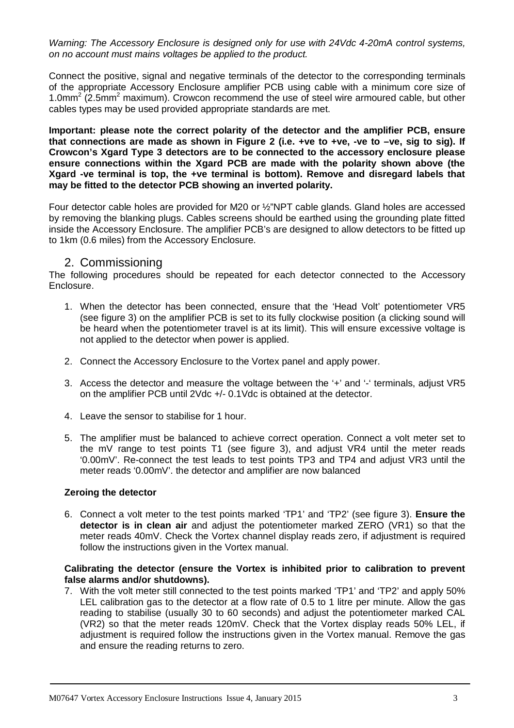*Warning: The Accessory Enclosure is designed only for use with 24Vdc 4-20mA control systems, on no account must mains voltages be applied to the product.* 

Connect the positive, signal and negative terminals of the detector to the corresponding terminals of the appropriate Accessory Enclosure amplifier PCB using cable with a minimum core size of 1.0mm<sup>2</sup> (2.5mm<sup>2</sup> maximum). Crowcon recommend the use of steel wire armoured cable, but other cables types may be used provided appropriate standards are met.

**Important: please note the correct polarity of the detector and the amplifier PCB, ensure that connections are made as shown in Figure 2 (i.e. +ve to +ve, -ve to –ve, sig to sig). If Crowcon's Xgard Type 3 detectors are to be connected to the accessory enclosure please ensure connections within the Xgard PCB are made with the polarity shown above (the Xgard -ve terminal is top, the +ve terminal is bottom). Remove and disregard labels that may be fitted to the detector PCB showing an inverted polarity.**

Four detector cable holes are provided for M20 or ½"NPT cable glands. Gland holes are accessed by removing the blanking plugs. Cables screens should be earthed using the grounding plate fitted inside the Accessory Enclosure. The amplifier PCB's are designed to allow detectors to be fitted up to 1km (0.6 miles) from the Accessory Enclosure.

## 2. Commissioning

The following procedures should be repeated for each detector connected to the Accessory Enclosure.

- 1. When the detector has been connected, ensure that the 'Head Volt' potentiometer VR5 (see figure 3) on the amplifier PCB is set to its fully clockwise position (a clicking sound will be heard when the potentiometer travel is at its limit). This will ensure excessive voltage is not applied to the detector when power is applied.
- 2. Connect the Accessory Enclosure to the Vortex panel and apply power.
- 3. Access the detector and measure the voltage between the '+' and '-' terminals, adjust VR5 on the amplifier PCB until 2Vdc +/- 0.1Vdc is obtained at the detector.
- 4. Leave the sensor to stabilise for 1 hour.
- 5. The amplifier must be balanced to achieve correct operation. Connect a volt meter set to the mV range to test points T1 (see figure 3), and adjust VR4 until the meter reads '0.00mV'. Re-connect the test leads to test points TP3 and TP4 and adjust VR3 until the meter reads '0.00mV'. the detector and amplifier are now balanced

#### **Zeroing the detector**

6. Connect a volt meter to the test points marked 'TP1' and 'TP2' (see figure 3). **Ensure the detector is in clean air** and adjust the potentiometer marked ZERO (VR1) so that the meter reads 40mV. Check the Vortex channel display reads zero, if adjustment is required follow the instructions given in the Vortex manual.

#### **Calibrating the detector (ensure the Vortex is inhibited prior to calibration to prevent false alarms and/or shutdowns).**

7. With the volt meter still connected to the test points marked 'TP1' and 'TP2' and apply 50% LEL calibration gas to the detector at a flow rate of 0.5 to 1 litre per minute. Allow the gas reading to stabilise (usually 30 to 60 seconds) and adjust the potentiometer marked CAL (VR2) so that the meter reads 120mV. Check that the Vortex display reads 50% LEL, if adjustment is required follow the instructions given in the Vortex manual. Remove the gas and ensure the reading returns to zero.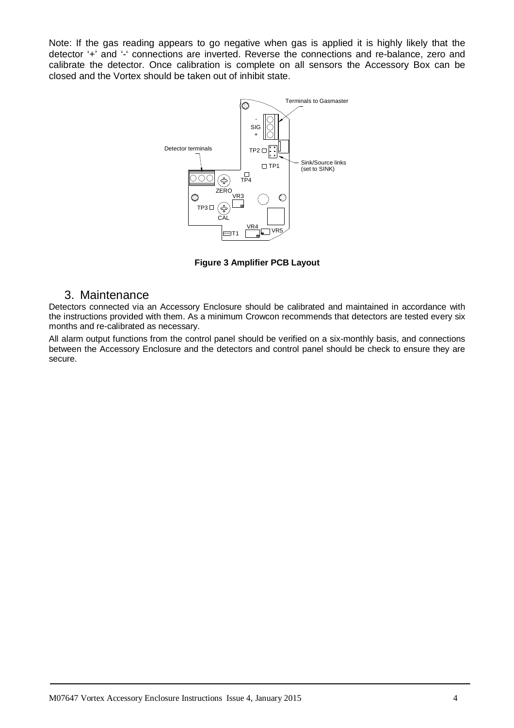Note: If the gas reading appears to go negative when gas is applied it is highly likely that the detector '+' and '-' connections are inverted. Reverse the connections and re-balance, zero and calibrate the detector. Once calibration is complete on all sensors the Accessory Box can be closed and the Vortex should be taken out of inhibit state.



**Figure 3 Amplifier PCB Layout**

## 3. Maintenance

Detectors connected via an Accessory Enclosure should be calibrated and maintained in accordance with the instructions provided with them. As a minimum Crowcon recommends that detectors are tested every six months and re-calibrated as necessary.

All alarm output functions from the control panel should be verified on a six-monthly basis, and connections between the Accessory Enclosure and the detectors and control panel should be check to ensure they are secure.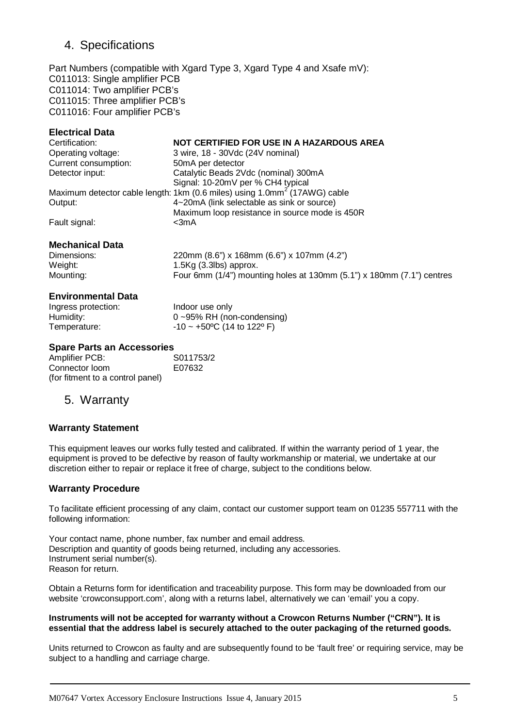# 4. Specifications

Part Numbers (compatible with Xgard Type 3, Xgard Type 4 and Xsafe mV): C011013: Single amplifier PCB C011014: Two amplifier PCB's C011015: Three amplifier PCB's C011016: Four amplifier PCB's

### **Electrical Data**

| NOT CERTIFIED FOR USE IN A HAZARDOUS AREA                                             |
|---------------------------------------------------------------------------------------|
| 3 wire, 18 - 30Vdc (24V nominal)                                                      |
| 50mA per detector                                                                     |
| Catalytic Beads 2Vdc (nominal) 300mA                                                  |
| Signal: 10-20mV per % CH4 typical                                                     |
| Maximum detector cable length: 1km (0.6 miles) using 1.0mm <sup>2</sup> (17AWG) cable |
| 4~20mA (link selectable as sink or source)                                            |
| Maximum loop resistance in source mode is 450R                                        |
| $<$ 3m $A$                                                                            |
|                                                                                       |

#### **Mechanical Data**

Dimensions: 220mm (8.6") x 168mm (6.6") x 107mm (4.2") Weight:  $1.5Kg (3.3)$  approx. Mounting: Four 6mm (1/4") mounting holes at 130mm (5.1") x 180mm (7.1") centres

#### **Environmental Data**

Ingress protection:<br>
Humidity: 0~95% RH (no  $0 - 95%$  RH (non-condensing) Temperature:  $-10 \sim +50\degree C$  (14 to 122 $\degree F$ )

#### **Spare Parts an Accessories**

| Amplifier PCB:                   | S011753/2 |
|----------------------------------|-----------|
| Connector loom                   | E07632    |
| (for fitment to a control panel) |           |

## 5. Warranty

#### **Warranty Statement**

This equipment leaves our works fully tested and calibrated. If within the warranty period of 1 year, the equipment is proved to be defective by reason of faulty workmanship or material, we undertake at our discretion either to repair or replace it free of charge, subject to the conditions below.

#### **Warranty Procedure**

To facilitate efficient processing of any claim, contact our customer support team on 01235 557711 with the following information:

Your contact name, phone number, fax number and email address. Description and quantity of goods being returned, including any accessories. Instrument serial number(s). Reason for return.

Obtain a Returns form for identification and traceability purpose. This form may be downloaded from our website 'crowconsupport.com', along with a returns label, alternatively we can 'email' you a copy.

#### **Instruments will not be accepted for warranty without a Crowcon Returns Number ("CRN"). It is essential that the address label is securely attached to the outer packaging of the returned goods.**

Units returned to Crowcon as faulty and are subsequently found to be 'fault free' or requiring service, may be subject to a handling and carriage charge.